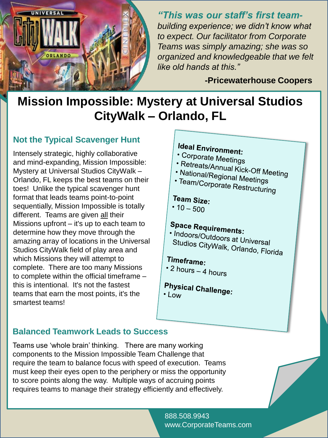

*"This was our staff's first teambuilding experience; we didn't know what to expect. Our facilitator from Corporate Teams was simply amazing; she was so organized and knowledgeable that we felt like old hands at this."*

**-Pricewaterhouse Coopers**

# **Mission Impossible: Mystery at Universal Studios CityWalk – Orlando, FL**

# **Not the Typical Scavenger Hunt**

Intensely strategic, highly collaborative and mind-expanding, Mission Impossible: Mystery at Universal Studios CityWalk – Orlando, FL keeps the best teams on their toes! Unlike the typical scavenger hunt format that leads teams point-to-point sequentially, Mission Impossible is totally different. Teams are given all their Missions upfront – it's up to each team to determine how they move through the amazing array of locations in the Universal Studios CityWalk field of play area and which Missions they will attempt to complete. There are too many Missions to complete within the official timeframe – this is intentional. It's not the fastest teams that earn the most points, it's the smartest teams!

# **Ideal Environment:**

- Corporate Meetings
- 
- Retreats/Annual Kick-Off Meeting<br>• National/Regional Meeting
- National/Regional Meetings<br>• National/Regional Meetings<br>• Team/Corporate D • Team/Corporate Restructuring

## Team Size:

•  $10 - 500$ 

# **Space Requirements:**

• Indoors/Outdoors at Universal<br>Studios CityMalk Studios CityWalk, Orlando, Florida<br>CityWalk, Orlando, Florida

# Timeframe:

\* 2 hours – 4 hours

#### **Physical Challenge:**  $\cdot$  Low

## **Balanced Teamwork Leads to Success**

Teams use 'whole brain' thinking. There are many working components to the Mission Impossible Team Challenge that require the team to balance focus with speed of execution. Teams must keep their eyes open to the periphery or miss the opportunity to score points along the way. Multiple ways of accruing points requires teams to manage their strategy efficiently and effectively.

> 888.508.9943 www.CorporateTeams.com